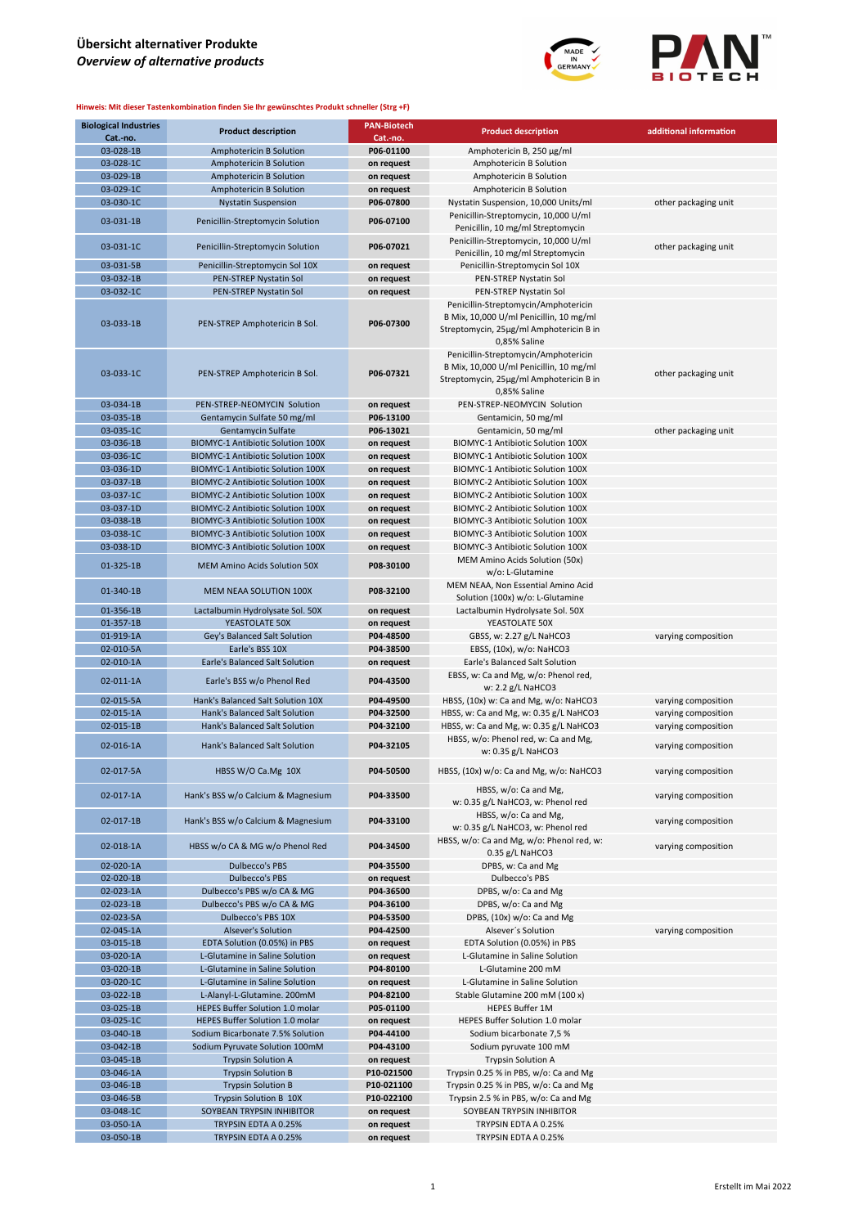

| <b>Biological Industries</b><br>Cat.-no. | <b>Product description</b>               | <b>PAN-Biotech</b><br>Cat.-no. | <b>Product description</b>                                                                                                                 | additional information |
|------------------------------------------|------------------------------------------|--------------------------------|--------------------------------------------------------------------------------------------------------------------------------------------|------------------------|
| 03-028-1B                                | Amphotericin B Solution                  | P06-01100                      | Amphotericin Β, 250 μg/ml                                                                                                                  |                        |
| 03-028-1C                                | Amphotericin B Solution                  | on request                     | Amphotericin B Solution                                                                                                                    |                        |
| 03-029-1B                                | Amphotericin B Solution                  | on request                     | Amphotericin B Solution                                                                                                                    |                        |
| 03-029-1C                                | Amphotericin B Solution                  |                                | Amphotericin B Solution                                                                                                                    |                        |
| 03-030-1C                                |                                          | on request<br>P06-07800        |                                                                                                                                            |                        |
|                                          | <b>Nystatin Suspension</b>               |                                | Nystatin Suspension, 10,000 Units/ml                                                                                                       | other packaging unit   |
| 03-031-1B                                | Penicillin-Streptomycin Solution         | P06-07100                      | Penicillin-Streptomycin, 10,000 U/ml<br>Penicillin, 10 mg/ml Streptomycin                                                                  |                        |
| 03-031-1C                                | Penicillin-Streptomycin Solution         | P06-07021                      | Penicillin-Streptomycin, 10,000 U/ml<br>Penicillin, 10 mg/ml Streptomycin                                                                  | other packaging unit   |
| 03-031-5B                                | Penicillin-Streptomycin Sol 10X          | on request                     | Penicillin-Streptomycin Sol 10X                                                                                                            |                        |
| 03-032-1B                                | PEN-STREP Nystatin Sol                   | on request                     | PEN-STREP Nystatin Sol                                                                                                                     |                        |
| 03-032-1C                                | PEN-STREP Nystatin Sol                   | on request                     | PEN-STREP Nystatin Sol                                                                                                                     |                        |
| 03-033-1B                                | PEN-STREP Amphotericin B Sol.            | P06-07300                      | Penicillin-Streptomycin/Amphotericin<br>B Mix, 10,000 U/ml Penicillin, 10 mg/ml<br>Streptomycin, 25µg/ml Amphotericin B in<br>0,85% Saline |                        |
| 03-033-1C                                | PEN-STREP Amphotericin B Sol.            | P06-07321                      | Penicillin-Streptomycin/Amphotericin<br>B Mix, 10,000 U/ml Penicillin, 10 mg/ml<br>Streptomycin, 25µg/ml Amphotericin B in<br>0,85% Saline | other packaging unit   |
| 03-034-1B                                | PEN-STREP-NEOMYCIN Solution              | on request                     | PEN-STREP-NEOMYCIN Solution                                                                                                                |                        |
| 03-035-1B                                | Gentamycin Sulfate 50 mg/ml              | P06-13100                      | Gentamicin, 50 mg/ml                                                                                                                       |                        |
| 03-035-1C                                | Gentamycin Sulfate                       | P06-13021                      | Gentamicin, 50 mg/ml                                                                                                                       | other packaging unit   |
| 03-036-1B                                | <b>BIOMYC-1 Antibiotic Solution 100X</b> | on request                     | BIOMYC-1 Antibiotic Solution 100X                                                                                                          |                        |
| 03-036-1C                                | <b>BIOMYC-1 Antibiotic Solution 100X</b> | on request                     | BIOMYC-1 Antibiotic Solution 100X                                                                                                          |                        |
| 03-036-1D                                | <b>BIOMYC-1 Antibiotic Solution 100X</b> | on request                     | BIOMYC-1 Antibiotic Solution 100X                                                                                                          |                        |
| 03-037-1B                                | <b>BIOMYC-2 Antibiotic Solution 100X</b> | on request                     | BIOMYC-2 Antibiotic Solution 100X                                                                                                          |                        |
| 03-037-1C                                | <b>BIOMYC-2 Antibiotic Solution 100X</b> | on request                     | BIOMYC-2 Antibiotic Solution 100X                                                                                                          |                        |
|                                          |                                          |                                | BIOMYC-2 Antibiotic Solution 100X                                                                                                          |                        |
| 03-037-1D                                | <b>BIOMYC-2 Antibiotic Solution 100X</b> | on request                     |                                                                                                                                            |                        |
| 03-038-1B                                | <b>BIOMYC-3 Antibiotic Solution 100X</b> | on request                     | BIOMYC-3 Antibiotic Solution 100X                                                                                                          |                        |
| 03-038-1C                                | BIOMYC-3 Antibiotic Solution 100X        | on request                     | BIOMYC-3 Antibiotic Solution 100X                                                                                                          |                        |
| 03-038-1D                                | BIOMYC-3 Antibiotic Solution 100X        | on request                     | BIOMYC-3 Antibiotic Solution 100X                                                                                                          |                        |
| 01-325-1B                                | <b>MEM Amino Acids Solution 50X</b>      | P08-30100                      | MEM Amino Acids Solution (50x)<br>w/o: L-Glutamine                                                                                         |                        |
| 01-340-1B                                | MEM NEAA SOLUTION 100X                   | P08-32100                      | MEM NEAA, Non Essential Amino Acid<br>Solution (100x) w/o: L-Glutamine                                                                     |                        |
| 01-356-1B                                | Lactalbumin Hydrolysate Sol. 50X         | on request                     | Lactalbumin Hydrolysate Sol. 50X                                                                                                           |                        |
| 01-357-1B                                | YEASTOLATE 50X                           | on request                     | YEASTOLATE 50X                                                                                                                             |                        |
| 01-919-1A                                | Gey's Balanced Salt Solution             | P04-48500                      | GBSS, w: 2.27 g/L NaHCO3                                                                                                                   | varying composition    |
| 02-010-5A                                | Earle's BSS 10X                          | P04-38500                      | EBSS, (10x), w/o: NaHCO3                                                                                                                   |                        |
| 02-010-1A                                | <b>Earle's Balanced Salt Solution</b>    | on request                     | Earle's Balanced Salt Solution                                                                                                             |                        |
| 02-011-1A                                | Earle's BSS w/o Phenol Red               | P04-43500                      | EBSS, w: Ca and Mg, w/o: Phenol red,<br>w: 2.2 g/L NaHCO3                                                                                  |                        |
| 02-015-5A                                | Hank's Balanced Salt Solution 10X        | P04-49500                      | HBSS, (10x) w: Ca and Mg, w/o: NaHCO3                                                                                                      | varying composition    |
| 02-015-1A                                | Hank's Balanced Salt Solution            | P04-32500                      |                                                                                                                                            | varying composition    |
| 02-015-1B                                | Hank's Balanced Salt Solution            | P04-32100                      | HBSS, w: Ca and Mg, w: 0.35 g/L NaHCO3                                                                                                     |                        |
|                                          |                                          |                                | HBSS, w: Ca and Mg, w: 0.35 g/L NaHCO3                                                                                                     | varying composition    |
| 02-016-1A                                | Hank's Balanced Salt Solution            | P04-32105                      | HBSS, w/o: Phenol red, w: Ca and Mg,<br>w: 0.35 g/L NaHCO3                                                                                 | varying composition    |
| 02-017-5A                                | HBSS W/O Ca.Mg 10X                       | P04-50500                      | HBSS, (10x) w/o: Ca and Mg, w/o: NaHCO3                                                                                                    | varying composition    |
| 02-017-1A                                | Hank's BSS w/o Calcium & Magnesium       | P04-33500                      | HBSS, w/o: Ca and Mg,<br>w: 0.35 g/L NaHCO3, w: Phenol red                                                                                 | varying composition    |
| 02-017-1B                                | Hank's BSS w/o Calcium & Magnesium       | P04-33100                      | HBSS, w/o: Ca and Mg,<br>w: 0.35 g/L NaHCO3, w: Phenol red                                                                                 | varying composition    |
| 02-018-1A                                | HBSS w/o CA & MG w/o Phenol Red          | P04-34500                      | HBSS, w/o: Ca and Mg, w/o: Phenol red, w:<br>$0.35$ g/L NaHCO3                                                                             | varying composition    |
| 02-020-1A                                | <b>Dulbecco's PBS</b>                    | P04-35500                      | DPBS, w: Ca and Mg                                                                                                                         |                        |
| 02-020-1B                                | <b>Dulbecco's PBS</b>                    | on request                     | Dulbecco's PBS                                                                                                                             |                        |
| 02-023-1A                                | Dulbecco's PBS w/o CA & MG               | P04-36500                      | DPBS, w/o: Ca and Mg                                                                                                                       |                        |
| 02-023-1B                                | Dulbecco's PBS w/o CA & MG               | P04-36100                      | DPBS, w/o: Ca and Mg                                                                                                                       |                        |
| 02-023-5A                                | Dulbecco's PBS 10X                       | P04-53500                      | DPBS, (10x) w/o: Ca and Mg                                                                                                                 |                        |
| 02-045-1A                                | Alsever's Solution                       | P04-42500                      | Alsever's Solution                                                                                                                         | varying composition    |
| 03-015-1B                                | EDTA Solution (0.05%) in PBS             | on request                     | EDTA Solution (0.05%) in PBS                                                                                                               |                        |
| 03-020-1A                                | L-Glutamine in Saline Solution           | on request                     | L-Glutamine in Saline Solution                                                                                                             |                        |
| 03-020-1B                                | L-Glutamine in Saline Solution           | P04-80100                      | L-Glutamine 200 mM                                                                                                                         |                        |
| 03-020-1C                                | L-Glutamine in Saline Solution           | on request                     | L-Glutamine in Saline Solution                                                                                                             |                        |
| 03-022-1B                                | L-Alanyl-L-Glutamine. 200mM              | P04-82100                      | Stable Glutamine 200 mM (100 x)                                                                                                            |                        |
| 03-025-1B                                | <b>HEPES Buffer Solution 1.0 molar</b>   | P05-01100                      | <b>HEPES Buffer 1M</b>                                                                                                                     |                        |
| 03-025-1C                                | HEPES Buffer Solution 1.0 molar          | on request                     | HEPES Buffer Solution 1.0 molar                                                                                                            |                        |
| 03-040-1B                                | Sodium Bicarbonate 7.5% Solution         | P04-44100                      | Sodium bicarbonate 7,5 %                                                                                                                   |                        |
| 03-042-1B                                | Sodium Pyruvate Solution 100mM           | P04-43100                      | Sodium pyruvate 100 mM                                                                                                                     |                        |
| 03-045-1B                                | <b>Trypsin Solution A</b>                | on request                     | <b>Trypsin Solution A</b>                                                                                                                  |                        |
| 03-046-1A                                | <b>Trypsin Solution B</b>                | P10-021500                     | Trypsin 0.25 % in PBS, w/o: Ca and Mg                                                                                                      |                        |
| 03-046-1B                                | <b>Trypsin Solution B</b>                | P10-021100                     | Trypsin 0.25 % in PBS, w/o: Ca and Mg                                                                                                      |                        |
| 03-046-5B                                | <b>Trypsin Solution B 10X</b>            | P10-022100                     | Trypsin 2.5 % in PBS, w/o: Ca and Mg                                                                                                       |                        |
| 03-048-1C                                | SOYBEAN TRYPSIN INHIBITOR                | on request                     | SOYBEAN TRYPSIN INHIBITOR                                                                                                                  |                        |
|                                          |                                          |                                |                                                                                                                                            |                        |
| 03-050-1A                                | TRYPSIN EDTA A 0.25%                     | on request                     | TRYPSIN EDTA A 0.25%                                                                                                                       |                        |
| 03-050-1B                                | TRYPSIN EDTA A 0.25%                     | on request                     | TRYPSIN EDTA A 0.25%                                                                                                                       |                        |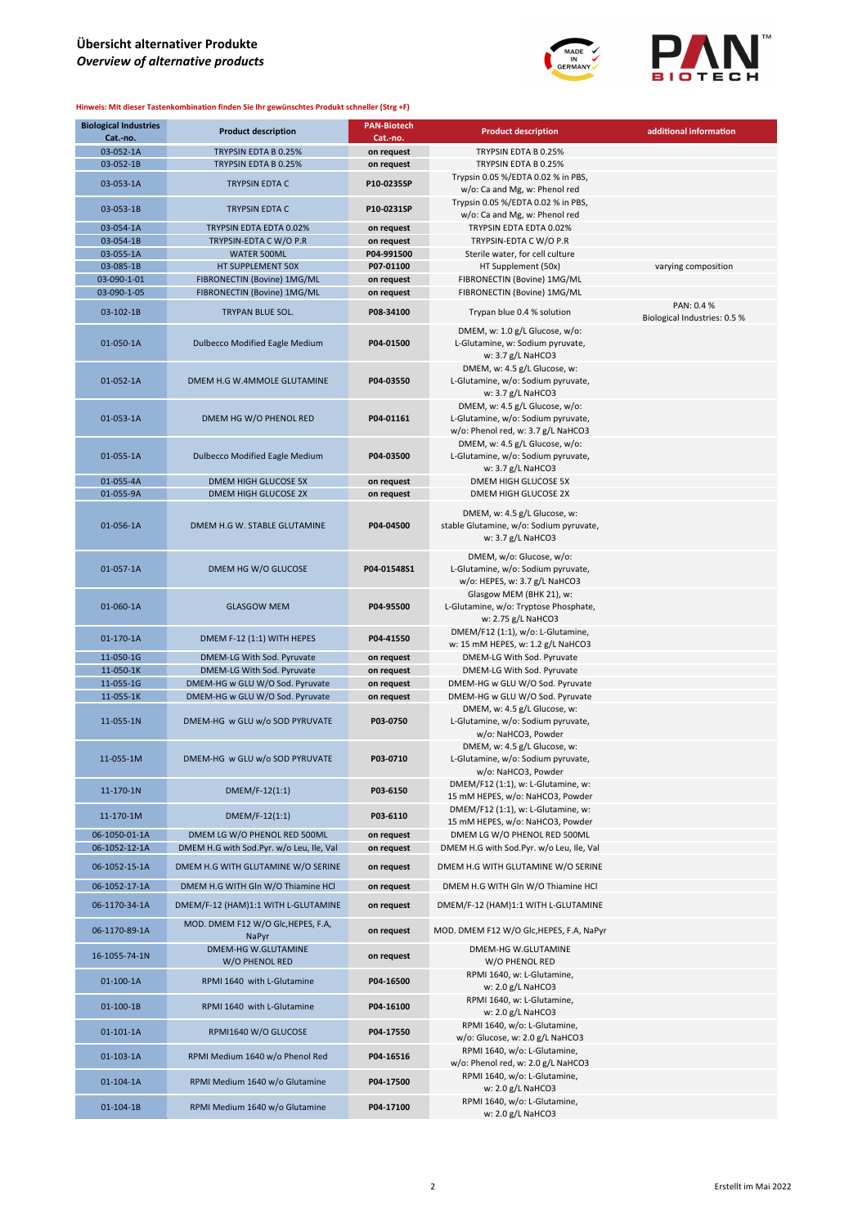

| <b>Biological Industries</b><br>Cat.-no. | <b>Product description</b>                                                     | <b>PAN-Biotech</b><br>Cat.-no. | <b>Product description</b>                                                                                 | additional information                     |
|------------------------------------------|--------------------------------------------------------------------------------|--------------------------------|------------------------------------------------------------------------------------------------------------|--------------------------------------------|
| 03-052-1A                                | TRYPSIN EDTA B 0.25%                                                           |                                | TRYPSIN EDTA B 0.25%                                                                                       |                                            |
|                                          |                                                                                | on request                     |                                                                                                            |                                            |
| 03-052-1B                                | TRYPSIN EDTA B 0.25%                                                           | on request                     | TRYPSIN EDTA B 0.25%                                                                                       |                                            |
| 03-053-1A                                | <b>TRYPSIN EDTA C</b>                                                          | P10-0235SP                     | Trypsin 0.05 %/EDTA 0.02 % in PBS,                                                                         |                                            |
|                                          |                                                                                |                                | w/o: Ca and Mg, w: Phenol red                                                                              |                                            |
| 03-053-1B                                | <b>TRYPSIN EDTA C</b>                                                          | P10-0231SP                     | Trypsin 0.05 %/EDTA 0.02 % in PBS,                                                                         |                                            |
|                                          |                                                                                |                                | w/o: Ca and Mg, w: Phenol red                                                                              |                                            |
| 03-054-1A                                | TRYPSIN EDTA EDTA 0.02%                                                        | on request                     | TRYPSIN EDTA EDTA 0.02%                                                                                    |                                            |
| 03-054-1B                                | TRYPSIN-EDTA C W/O P.R                                                         | on request                     | TRYPSIN-EDTA C W/O P.R                                                                                     |                                            |
| 03-055-1A                                | WATER 500ML                                                                    | P04-991500                     | Sterile water, for cell culture                                                                            |                                            |
| 03-085-1B                                | HT SUPPLEMENT 50X                                                              | P07-01100                      | HT Supplement (50x)                                                                                        | varying composition                        |
| 03-090-1-01                              | FIBRONECTIN (Bovine) 1MG/ML                                                    | on request                     | FIBRONECTIN (Bovine) 1MG/ML                                                                                |                                            |
| 03-090-1-05                              | FIBRONECTIN (Bovine) 1MG/ML                                                    | on request                     | FIBRONECTIN (Bovine) 1MG/ML                                                                                |                                            |
| 03-102-1B                                | TRYPAN BLUE SOL.                                                               | P08-34100                      | Trypan blue 0.4 % solution                                                                                 | PAN: 0.4 %<br>Biological Industries: 0.5 % |
| 01-050-1A                                | Dulbecco Modified Eagle Medium                                                 | P04-01500                      | DMEM, w: 1.0 g/L Glucose, w/o:<br>L-Glutamine, w: Sodium pyruvate,<br>w: $3.7 g/L$ NaHCO3                  |                                            |
| 01-052-1A                                | DMEM H.G W.4MMOLE GLUTAMINE                                                    | P04-03550                      | DMEM, w: 4.5 g/L Glucose, w:<br>L-Glutamine, w/o: Sodium pyruvate,<br>w: 3.7 g/L NaHCO3                    |                                            |
| 01-053-1A                                | DMEM HG W/O PHENOL RED                                                         | P04-01161                      | DMEM, w: 4.5 g/L Glucose, w/o:<br>L-Glutamine, w/o: Sodium pyruvate,<br>w/o: Phenol red, w: 3.7 g/L NaHCO3 |                                            |
| 01-055-1A                                | <b>Dulbecco Modified Eagle Medium</b>                                          | P04-03500                      | DMEM, w: 4.5 g/L Glucose, w/o:<br>L-Glutamine, w/o: Sodium pyruvate,<br>w: $3.7 g/L$ NaHCO3                |                                            |
| 01-055-4A                                | DMEM HIGH GLUCOSE 5X                                                           | on request                     | DMEM HIGH GLUCOSE 5X                                                                                       |                                            |
| 01-055-9A                                | <b>DMEM HIGH GLUCOSE 2X</b>                                                    | on request                     | DMEM HIGH GLUCOSE 2X                                                                                       |                                            |
| 01-056-1A                                | DMEM H.G W. STABLE GLUTAMINE                                                   | P04-04500                      | DMEM, w: 4.5 g/L Glucose, w:<br>stable Glutamine, w/o: Sodium pyruvate,<br>w: 3.7 g/L NaHCO3               |                                            |
| 01-057-1A                                | DMEM HG W/O GLUCOSE                                                            | P04-01548S1                    | DMEM, w/o: Glucose, w/o:<br>L-Glutamine, w/o: Sodium pyruvate,<br>w/o: HEPES, w: 3.7 g/L NaHCO3            |                                            |
| 01-060-1A                                | <b>GLASGOW MEM</b>                                                             | P04-95500                      | Glasgow MEM (BHK 21), w:<br>L-Glutamine, w/o: Tryptose Phosphate,<br>w: 2.75 g/L NaHCO3                    |                                            |
| 01-170-1A                                | DMEM F-12 (1:1) WITH HEPES                                                     | P04-41550                      | DMEM/F12 (1:1), w/o: L-Glutamine,<br>w: 15 mM HEPES, w: 1.2 g/L NaHCO3                                     |                                            |
| 11-050-1G                                | DMEM-LG With Sod. Pyruvate                                                     | on request                     | DMEM-LG With Sod. Pyruvate                                                                                 |                                            |
| 11-050-1K                                | DMEM-LG With Sod. Pyruvate                                                     | on request                     | DMEM-LG With Sod. Pyruvate                                                                                 |                                            |
| 11-055-1G                                | DMEM-HG w GLU W/O Sod. Pyruvate                                                | on request                     | DMEM-HG w GLU W/O Sod. Pyruvate                                                                            |                                            |
| 11-055-1K                                | DMEM-HG w GLU W/O Sod. Pyruvate                                                | on request                     | DMEM-HG w GLU W/O Sod. Pyruvate                                                                            |                                            |
| 11-055-1N                                | DMEM-HG w GLU w/o SOD PYRUVATE                                                 | P03-0750                       | DMEM, w: 4.5 g/L Glucose, w:<br>L-Glutamine, w/o: Sodium pyruvate,<br>w/o: NaHCO3, Powder                  |                                            |
| 11-055-1M                                | DMEM-HG w GLU w/o SOD PYRUVATE                                                 | P03-0710                       | DMEM, w: 4.5 g/L Glucose, w:<br>L-Glutamine, w/o: Sodium pyruvate,<br>w/o: NaHCO3, Powder                  |                                            |
| 11-170-1N                                | DMEM/F-12(1:1)                                                                 | P03-6150                       | DMEM/F12 (1:1), w: L-Glutamine, w:<br>15 mM HEPES, w/o: NaHCO3, Powder                                     |                                            |
| 11-170-1M                                | $DMEM/F-12(1:1)$                                                               | P03-6110                       | DMEM/F12 (1:1), w: L-Glutamine, w:                                                                         |                                            |
|                                          | DMEM LG W/O PHENOL RED 500ML                                                   |                                | 15 mM HEPES, w/o: NaHCO3, Powder                                                                           |                                            |
| 06-1050-01-1A                            |                                                                                | on request                     | DMEM LG W/O PHENOL RED 500ML                                                                               |                                            |
| 06-1052-12-1A<br>06-1052-15-1A           | DMEM H.G with Sod.Pyr. w/o Leu, Ile, Val<br>DMEM H.G WITH GLUTAMINE W/O SERINE | on request<br>on request       | DMEM H.G with Sod.Pyr. w/o Leu, Ile, Val<br>DMEM H.G WITH GLUTAMINE W/O SERINE                             |                                            |
| 06-1052-17-1A                            | DMEM H.G WITH Gln W/O Thiamine HCl                                             | on request                     | DMEM H.G WITH Gln W/O Thiamine HCl                                                                         |                                            |
| 06-1170-34-1A                            | DMEM/F-12 (HAM)1:1 WITH L-GLUTAMINE                                            | on request                     | DMEM/F-12 (HAM)1:1 WITH L-GLUTAMINE                                                                        |                                            |
| 06-1170-89-1A                            | MOD. DMEM F12 W/O Glc, HEPES, F.A,<br>NaPyr                                    | on request                     | MOD. DMEM F12 W/O Glc, HEPES, F.A, NaPyr                                                                   |                                            |
| 16-1055-74-1N                            | DMEM-HG W.GLUTAMINE<br>W/O PHENOL RED                                          | on request                     | DMEM-HG W.GLUTAMINE<br>W/O PHENOL RED                                                                      |                                            |
| $01 - 100 - 1A$                          | RPMI 1640 with L-Glutamine                                                     | P04-16500                      | RPMI 1640, w: L-Glutamine,<br>w: 2.0 g/L NaHCO3                                                            |                                            |
| $01-100-1B$                              | RPMI 1640 with L-Glutamine                                                     | P04-16100                      | RPMI 1640, w: L-Glutamine,<br>w: 2.0 g/L NaHCO3                                                            |                                            |
| $01-101-1A$                              | RPMI1640 W/O GLUCOSE                                                           | P04-17550                      | RPMI 1640, w/o: L-Glutamine,<br>w/o: Glucose, w: 2.0 g/L NaHCO3                                            |                                            |
| $01-103-1A$                              | RPMI Medium 1640 w/o Phenol Red                                                | P04-16516                      | RPMI 1640, w/o: L-Glutamine,<br>w/o: Phenol red, w: 2.0 g/L NaHCO3                                         |                                            |
| 01-104-1A                                | RPMI Medium 1640 w/o Glutamine                                                 | P04-17500                      | RPMI 1640, w/o: L-Glutamine,<br>w: $2.0$ g/L NaHCO3                                                        |                                            |
| $01 - 104 - 1B$                          | RPMI Medium 1640 w/o Glutamine                                                 | P04-17100                      | RPMI 1640, w/o: L-Glutamine,<br>w: 2.0 g/L NaHCO3                                                          |                                            |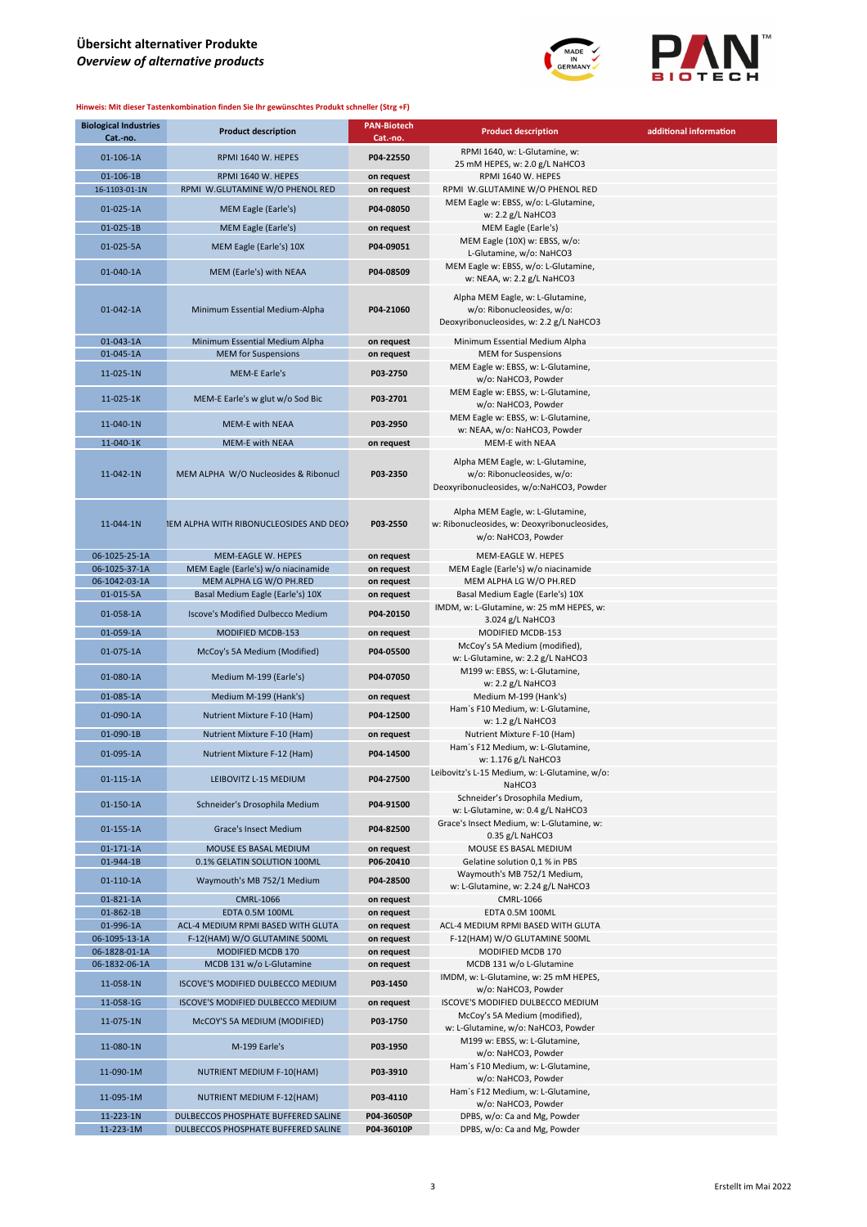

| <b>Biological Industries</b><br>Cat.-no. | <b>Product description</b>                                | <b>PAN-Biotech</b><br>Cat.-no. | <b>Product description</b>                                                                                 | additional information |
|------------------------------------------|-----------------------------------------------------------|--------------------------------|------------------------------------------------------------------------------------------------------------|------------------------|
| 01-106-1A                                | RPMI 1640 W. HEPES                                        | P04-22550                      | RPMI 1640, w: L-Glutamine, w:<br>25 mM HEPES, w: 2.0 g/L NaHCO3                                            |                        |
| 01-106-1B                                | RPMI 1640 W. HEPES                                        | on request                     | RPMI 1640 W. HEPES                                                                                         |                        |
| 16-1103-01-1N                            | RPMI W.GLUTAMINE W/O PHENOL RED                           | on request                     | RPMI W.GLUTAMINE W/O PHENOL RED                                                                            |                        |
| 01-025-1A                                | MEM Eagle (Earle's)                                       | P04-08050                      | MEM Eagle w: EBSS, w/o: L-Glutamine,<br>w: 2.2 g/L NaHCO3                                                  |                        |
| 01-025-1B                                | <b>MEM Eagle (Earle's)</b>                                | on request                     | MEM Eagle (Earle's)                                                                                        |                        |
| 01-025-5A                                | MEM Eagle (Earle's) 10X                                   | P04-09051                      | MEM Eagle (10X) w: EBSS, w/o:<br>L-Glutamine, w/o: NaHCO3                                                  |                        |
| 01-040-1A                                | MEM (Earle's) with NEAA                                   | P04-08509                      | MEM Eagle w: EBSS, w/o: L-Glutamine,<br>w: NEAA, w: 2.2 g/L NaHCO3                                         |                        |
| 01-042-1A                                | Minimum Essential Medium-Alpha                            | P04-21060                      | Alpha MEM Eagle, w: L-Glutamine,<br>w/o: Ribonucleosides, w/o:<br>Deoxyribonucleosides, w: 2.2 g/L NaHCO3  |                        |
| 01-043-1A                                | Minimum Essential Medium Alpha                            | on request                     | Minimum Essential Medium Alpha                                                                             |                        |
| 01-045-1A                                | <b>MEM</b> for Suspensions                                | on request                     | <b>MEM</b> for Suspensions                                                                                 |                        |
| 11-025-1N                                | <b>MEM-E Earle's</b>                                      | P03-2750                       | MEM Eagle w: EBSS, w: L-Glutamine,<br>w/o: NaHCO3, Powder                                                  |                        |
| 11-025-1K                                | MEM-E Earle's w glut w/o Sod Bic                          | P03-2701                       | MEM Eagle w: EBSS, w: L-Glutamine,<br>w/o: NaHCO3, Powder                                                  |                        |
| 11-040-1N                                | <b>MEM-E with NEAA</b>                                    | P03-2950                       | MEM Eagle w: EBSS, w: L-Glutamine,<br>w: NEAA, w/o: NaHCO3, Powder                                         |                        |
| 11-040-1K                                | <b>MEM-E with NEAA</b>                                    | on request                     | MEM-E with NEAA                                                                                            |                        |
|                                          |                                                           |                                |                                                                                                            |                        |
| 11-042-1N                                | MEM ALPHA W/O Nucleosides & Ribonucl                      | P03-2350                       | Alpha MEM Eagle, w: L-Glutamine,<br>w/o: Ribonucleosides, w/o:<br>Deoxyribonucleosides, w/o:NaHCO3, Powder |                        |
| 11-044-1N                                | 1EM ALPHA WITH RIBONUCLEOSIDES AND DEOX                   | P03-2550                       | Alpha MEM Eagle, w: L-Glutamine,<br>w: Ribonucleosides, w: Deoxyribonucleosides,<br>w/o: NaHCO3, Powder    |                        |
| 06-1025-25-1A                            | MEM-EAGLE W. HEPES                                        | on request                     | MEM-EAGLE W. HEPES                                                                                         |                        |
| 06-1025-37-1A                            | MEM Eagle (Earle's) w/o niacinamide                       | on request                     | MEM Eagle (Earle's) w/o niacinamide                                                                        |                        |
| 06-1042-03-1A                            | MEM ALPHA LG W/O PH.RED                                   | on request                     | MEM ALPHA LG W/O PH.RED                                                                                    |                        |
| 01-015-5A                                | Basal Medium Eagle (Earle's) 10X                          | on request                     | Basal Medium Eagle (Earle's) 10X                                                                           |                        |
| 01-058-1A                                | <b>Iscove's Modified Dulbecco Medium</b>                  | P04-20150                      | IMDM, w: L-Glutamine, w: 25 mM HEPES, w:<br>3.024 g/L NaHCO3                                               |                        |
| 01-059-1A                                | MODIFIED MCDB-153                                         | on request                     | MODIFIED MCDB-153                                                                                          |                        |
| 01-075-1A                                | McCoy's 5A Medium (Modified)                              | P04-05500                      | McCoy's 5A Medium (modified),<br>w: L-Glutamine, w: 2.2 g/L NaHCO3                                         |                        |
| 01-080-1A                                | Medium M-199 (Earle's)                                    | P04-07050                      | M199 w: EBSS, w: L-Glutamine,<br>w: $2.2$ g/L NaHCO3                                                       |                        |
| 01-085-1A                                | Medium M-199 (Hank's)                                     | on request                     | Medium M-199 (Hank's)                                                                                      |                        |
| 01-090-1A                                | Nutrient Mixture F-10 (Ham)                               | P04-12500                      | Ham's F10 Medium, w: L-Glutamine,                                                                          |                        |
| 01-090-1B                                | Nutrient Mixture F-10 (Ham)                               | on request                     | w: 1.2 g/L NaHCO3<br>Nutrient Mixture F-10 (Ham)                                                           |                        |
| 01-095-1A                                | Nutrient Mixture F-12 (Ham)                               | P04-14500                      | Ham's F12 Medium, w: L-Glutamine,                                                                          |                        |
|                                          |                                                           |                                | w: 1.176 g/L NaHCO3<br>Leibovitz's L-15 Medium, w: L-Glutamine, w/o:                                       |                        |
| 01-115-1A                                | LEIBOVITZ L-15 MEDIUM                                     | P04-27500                      | NaHCO3<br>Schneider's Drosophila Medium,                                                                   |                        |
| 01-150-1A                                | Schneider's Drosophila Medium                             | P04-91500                      | w: L-Glutamine, w: 0.4 g/L NaHCO3                                                                          |                        |
| 01-155-1A                                | Grace's Insect Medium                                     | P04-82500                      | Grace's Insect Medium, w: L-Glutamine, w:<br>$0.35$ g/L NaHCO3                                             |                        |
| $01-171-1A$                              | MOUSE ES BASAL MEDIUM                                     | on request                     | MOUSE ES BASAL MEDIUM                                                                                      |                        |
| 01-944-1B<br>$01-110-1A$                 | 0.1% GELATIN SOLUTION 100ML<br>Waymouth's MB 752/1 Medium | P06-20410<br>P04-28500         | Gelatine solution 0,1 % in PBS<br>Waymouth's MB 752/1 Medium,                                              |                        |
|                                          |                                                           |                                | w: L-Glutamine, w: 2.24 g/L NaHCO3                                                                         |                        |
| 01-821-1A                                | <b>CMRL-1066</b>                                          | on request                     | CMRL-1066                                                                                                  |                        |
| 01-862-1B<br>01-996-1A                   | EDTA 0.5M 100ML<br>ACL-4 MEDIUM RPMI BASED WITH GLUTA     | on request<br>on request       | EDTA 0.5M 100ML<br>ACL-4 MEDIUM RPMI BASED WITH GLUTA                                                      |                        |
| 06-1095-13-1A                            | F-12(HAM) W/O GLUTAMINE 500ML                             | on request                     | F-12(HAM) W/O GLUTAMINE 500ML                                                                              |                        |
| 06-1828-01-1A                            | MODIFIED MCDB 170                                         | on request                     | MODIFIED MCDB 170                                                                                          |                        |
| 06-1832-06-1A                            | MCDB 131 w/o L-Glutamine                                  | on request                     | MCDB 131 w/o L-Glutamine                                                                                   |                        |
| 11-058-1N                                | ISCOVE'S MODIFIED DULBECCO MEDIUM                         | P03-1450                       | IMDM, w: L-Glutamine, w: 25 mM HEPES,<br>w/o: NaHCO3, Powder                                               |                        |
| 11-058-1G                                | ISCOVE'S MODIFIED DULBECCO MEDIUM                         | on request                     | ISCOVE'S MODIFIED DULBECCO MEDIUM                                                                          |                        |
| 11-075-1N                                | McCOY'S 5A MEDIUM (MODIFIED)                              | P03-1750                       | McCoy's 5A Medium (modified),<br>w: L-Glutamine, w/o: NaHCO3, Powder                                       |                        |
| 11-080-1N                                | M-199 Earle's                                             | P03-1950                       | M199 w: EBSS, w: L-Glutamine,<br>w/o: NaHCO3, Powder                                                       |                        |
| 11-090-1M                                | NUTRIENT MEDIUM F-10(HAM)                                 | P03-3910                       | Ham's F10 Medium, w: L-Glutamine,<br>w/o: NaHCO3, Powder                                                   |                        |
| 11-095-1M                                | NUTRIENT MEDIUM F-12(HAM)                                 | P03-4110                       | Ham's F12 Medium, w: L-Glutamine,<br>w/o: NaHCO3, Powder                                                   |                        |
| 11-223-1N                                | DULBECCOS PHOSPHATE BUFFERED SALINE                       | P04-36050P                     | DPBS, w/o: Ca and Mg, Powder                                                                               |                        |
| 11-223-1M                                | DULBECCOS PHOSPHATE BUFFERED SALINE                       | P04-36010P                     | DPBS, w/o: Ca and Mg, Powder                                                                               |                        |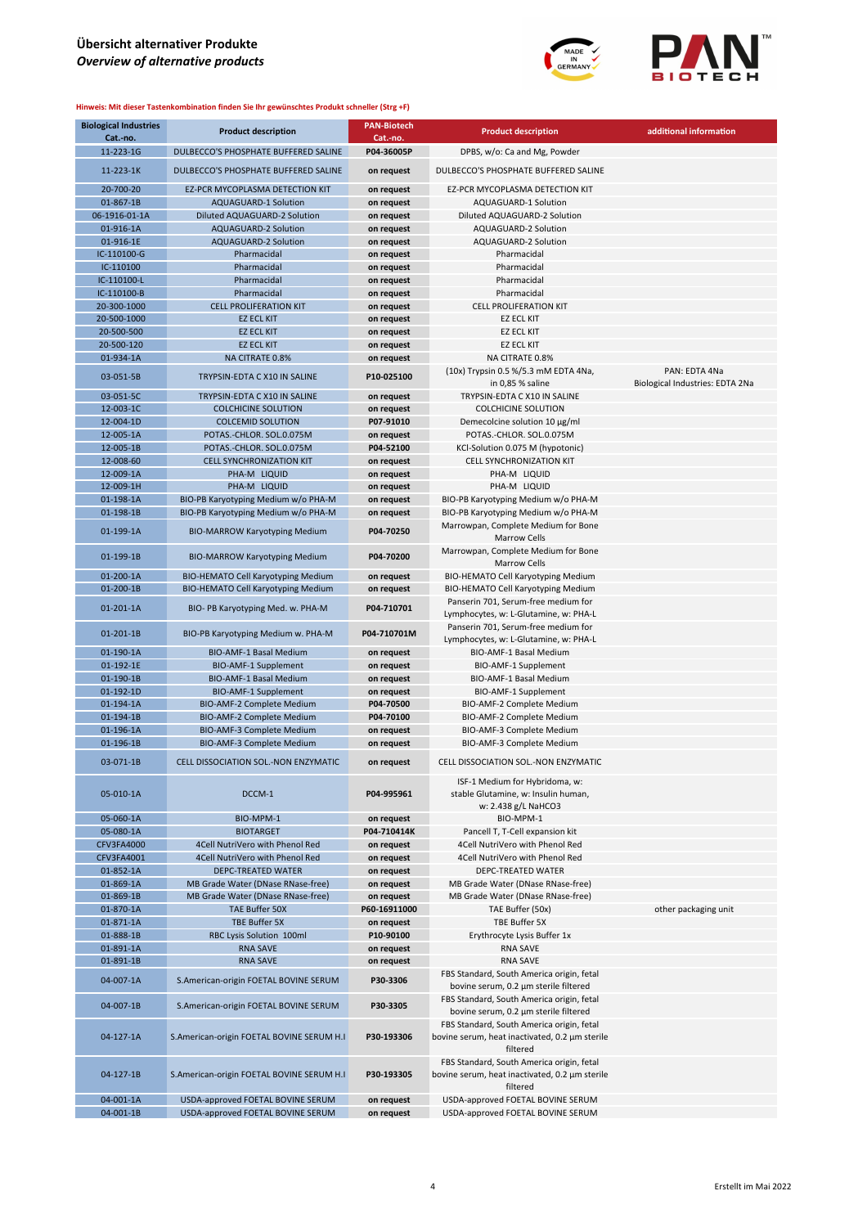

| <b>Biological Industries</b><br>Cat.-no. | <b>Product description</b>                                               | <b>PAN-Biotech</b><br>Cat.-no. | <b>Product description</b>                                                                  | additional information                           |
|------------------------------------------|--------------------------------------------------------------------------|--------------------------------|---------------------------------------------------------------------------------------------|--------------------------------------------------|
| 11-223-1G                                | DULBECCO'S PHOSPHATE BUFFERED SALINE                                     | P04-36005P                     | DPBS, w/o: Ca and Mg, Powder                                                                |                                                  |
| 11-223-1K                                | DULBECCO'S PHOSPHATE BUFFERED SALINE                                     | on request                     | DULBECCO'S PHOSPHATE BUFFERED SALINE                                                        |                                                  |
| 20-700-20                                | EZ-PCR MYCOPLASMA DETECTION KIT                                          | on request                     | EZ-PCR MYCOPLASMA DETECTION KIT                                                             |                                                  |
| 01-867-1B                                | AQUAGUARD-1 Solution                                                     | on request                     | AQUAGUARD-1 Solution                                                                        |                                                  |
| 06-1916-01-1A                            | Diluted AQUAGUARD-2 Solution                                             | on request                     | Diluted AQUAGUARD-2 Solution                                                                |                                                  |
| 01-916-1A                                | <b>AQUAGUARD-2 Solution</b>                                              | on request                     | AQUAGUARD-2 Solution                                                                        |                                                  |
| 01-916-1E                                | AQUAGUARD-2 Solution                                                     | on request                     | AQUAGUARD-2 Solution                                                                        |                                                  |
| IC-110100-G                              | Pharmacidal                                                              | on request                     | Pharmacidal                                                                                 |                                                  |
| IC-110100                                | Pharmacidal                                                              | on request                     | Pharmacidal                                                                                 |                                                  |
| IC-110100-L                              | Pharmacidal                                                              | on request                     | Pharmacidal                                                                                 |                                                  |
| IC-110100-B                              | Pharmacidal                                                              | on request                     | Pharmacidal                                                                                 |                                                  |
| 20-300-1000                              | <b>CELL PROLIFERATION KIT</b>                                            | on request                     | <b>CELL PROLIFERATION KIT</b>                                                               |                                                  |
| 20-500-1000                              | <b>EZ ECL KIT</b>                                                        | on request                     | <b>EZ ECL KIT</b>                                                                           |                                                  |
| 20-500-500                               | <b>EZ ECL KIT</b>                                                        | on request                     | <b>EZ ECL KIT</b>                                                                           |                                                  |
| 20-500-120                               | <b>EZ ECL KIT</b>                                                        | on request                     | <b>EZ ECL KIT</b>                                                                           |                                                  |
| 01-934-1A                                | <b>NA CITRATE 0.8%</b>                                                   | on request                     | NA CITRATE 0.8%                                                                             |                                                  |
| 03-051-5B                                | TRYPSIN-EDTA C X10 IN SALINE                                             | P10-025100                     | (10x) Trypsin 0.5 %/5.3 mM EDTA 4Na,<br>in 0,85 % saline                                    | PAN: EDTA 4Na<br>Biological Industries: EDTA 2Na |
| 03-051-5C                                | TRYPSIN-EDTA C X10 IN SALINE                                             | on request                     | TRYPSIN-EDTA C X10 IN SALINE                                                                |                                                  |
| 12-003-1C                                | <b>COLCHICINE SOLUTION</b>                                               | on request                     | <b>COLCHICINE SOLUTION</b>                                                                  |                                                  |
| 12-004-1D                                | <b>COLCEMID SOLUTION</b>                                                 | P07-91010                      | Demecolcine solution 10 µg/ml                                                               |                                                  |
| 12-005-1A                                | POTAS.-CHLOR. SOL.0.075M                                                 | on request                     | POTAS.-CHLOR. SOL.0.075M                                                                    |                                                  |
| 12-005-1B                                | POTAS.-CHLOR. SOL.0.075M                                                 | P04-52100                      | KCl-Solution 0.075 M (hypotonic)                                                            |                                                  |
| 12-008-60                                | <b>CELL SYNCHRONIZATION KIT</b>                                          | on request                     | <b>CELL SYNCHRONIZATION KIT</b>                                                             |                                                  |
| 12-009-1A                                | PHA-M LIQUID                                                             | on request                     | PHA-M LIQUID                                                                                |                                                  |
| 12-009-1H                                | PHA-M LIQUID                                                             | on request                     | PHA-M LIQUID                                                                                |                                                  |
| 01-198-1A                                | BIO-PB Karyotyping Medium w/o PHA-M                                      | on request                     | BIO-PB Karyotyping Medium w/o PHA-M                                                         |                                                  |
| 01-198-1B                                | BIO-PB Karyotyping Medium w/o PHA-M                                      | on request                     | BIO-PB Karyotyping Medium w/o PHA-M                                                         |                                                  |
|                                          |                                                                          |                                | Marrowpan, Complete Medium for Bone                                                         |                                                  |
| 01-199-1A                                | <b>BIO-MARROW Karyotyping Medium</b>                                     | P04-70250                      | <b>Marrow Cells</b><br>Marrowpan, Complete Medium for Bone                                  |                                                  |
| 01-199-1B                                | <b>BIO-MARROW Karyotyping Medium</b>                                     | P04-70200                      | <b>Marrow Cells</b>                                                                         |                                                  |
| 01-200-1A                                | <b>BIO-HEMATO Cell Karyotyping Medium</b>                                | on request                     | <b>BIO-HEMATO Cell Karyotyping Medium</b>                                                   |                                                  |
| 01-200-1B                                | <b>BIO-HEMATO Cell Karyotyping Medium</b>                                | on request                     | BIO-HEMATO Cell Karyotyping Medium                                                          |                                                  |
| 01-201-1A                                | BIO-PB Karyotyping Med. w. PHA-M                                         | P04-710701                     | Panserin 701, Serum-free medium for<br>Lymphocytes, w: L-Glutamine, w: PHA-L                |                                                  |
| 01-201-1B                                | BIO-PB Karyotyping Medium w. PHA-M                                       | P04-710701M                    | Panserin 701, Serum-free medium for<br>Lymphocytes, w: L-Glutamine, w: PHA-L                |                                                  |
| 01-190-1A                                | BIO-AMF-1 Basal Medium                                                   | on request                     | BIO-AMF-1 Basal Medium                                                                      |                                                  |
| 01-192-1E                                | <b>BIO-AMF-1 Supplement</b>                                              | on request                     | BIO-AMF-1 Supplement                                                                        |                                                  |
| 01-190-1B                                | <b>BIO-AMF-1 Basal Medium</b>                                            | on request                     | BIO-AMF-1 Basal Medium                                                                      |                                                  |
| 01-192-1D                                | <b>BIO-AMF-1 Supplement</b>                                              | on request                     | BIO-AMF-1 Supplement                                                                        |                                                  |
| 01-194-1A                                | BIO-AMF-2 Complete Medium                                                | P04-70500                      | BIO-AMF-2 Complete Medium                                                                   |                                                  |
| 01-194-1B                                | <b>BIO-AMF-2 Complete Medium</b>                                         | P04-70100                      | BIO-AMF-2 Complete Medium                                                                   |                                                  |
| 01-196-1A                                | BIO-AMF-3 Complete Medium                                                | on request                     | BIO-AMF-3 Complete Medium                                                                   |                                                  |
| 01-196-1B<br>$03-071-1B$                 | BIO-AMF-3 Complete Medium<br><b>CELL DISSOCIATION SOL.-NON ENZYMATIC</b> | on request<br>on request       | BIO-AMF-3 Complete Medium<br>CELL DISSOCIATION SOL.-NON ENZYMATIC                           |                                                  |
|                                          |                                                                          |                                | ISF-1 Medium for Hybridoma, w:                                                              |                                                  |
| 05-010-1A                                | DCCM-1                                                                   | P04-995961                     | stable Glutamine, w: Insulin human,<br>w: 2.438 g/L NaHCO3                                  |                                                  |
| 05-060-1A                                | BIO-MPM-1                                                                | on request                     | BIO-MPM-1                                                                                   |                                                  |
| 05-080-1A                                | <b>BIOTARGET</b>                                                         | P04-710414K                    | Pancell T, T-Cell expansion kit                                                             |                                                  |
| <b>CFV3FA4000</b>                        | 4Cell NutriVero with Phenol Red                                          | on request                     | 4Cell NutriVero with Phenol Red                                                             |                                                  |
| <b>CFV3FA4001</b>                        | 4Cell NutriVero with Phenol Red                                          | on request                     | 4Cell NutriVero with Phenol Red                                                             |                                                  |
| 01-852-1A                                | <b>DEPC-TREATED WATER</b>                                                | on request                     | DEPC-TREATED WATER                                                                          |                                                  |
| 01-869-1A                                | MB Grade Water (DNase RNase-free)                                        | on request                     | MB Grade Water (DNase RNase-free)                                                           |                                                  |
| 01-869-1B                                | MB Grade Water (DNase RNase-free)                                        | on request                     | MB Grade Water (DNase RNase-free)                                                           |                                                  |
| 01-870-1A                                | TAE Buffer 50X                                                           | P60-16911000                   | TAE Buffer (50x)                                                                            | other packaging unit                             |
| 01-871-1A                                | TBE Buffer 5X                                                            | on request                     | TBE Buffer 5X                                                                               |                                                  |
| 01-888-1B                                | RBC Lysis Solution 100ml                                                 | P10-90100                      | Erythrocyte Lysis Buffer 1x                                                                 |                                                  |
| 01-891-1A                                | <b>RNA SAVE</b>                                                          | on request                     | <b>RNA SAVE</b>                                                                             |                                                  |
| 01-891-1B                                | <b>RNA SAVE</b>                                                          | on request                     | <b>RNA SAVE</b>                                                                             |                                                  |
| 04-007-1A                                | S.American-origin FOETAL BOVINE SERUM                                    | P30-3306                       | FBS Standard, South America origin, fetal<br>bovine serum, 0.2 µm sterile filtered          |                                                  |
| 04-007-1B                                | S.American-origin FOETAL BOVINE SERUM                                    | P30-3305                       | FBS Standard, South America origin, fetal<br>bovine serum, 0.2 µm sterile filtered          |                                                  |
| 04-127-1A                                | S.American-origin FOETAL BOVINE SERUM H.I                                | P30-193306                     | FBS Standard, South America origin, fetal<br>bovine serum, heat inactivated, 0.2 µm sterile |                                                  |
|                                          |                                                                          |                                | filtered<br>FBS Standard, South America origin, fetal                                       |                                                  |
| 04-127-1B                                | S.American-origin FOETAL BOVINE SERUM H.I                                | P30-193305                     | bovine serum, heat inactivated, 0.2 µm sterile<br>filtered                                  |                                                  |
| 04-001-1A                                | USDA-approved FOETAL BOVINE SERUM                                        | on request                     | USDA-approved FOETAL BOVINE SERUM                                                           |                                                  |
| 04-001-1B                                | USDA-approved FOETAL BOVINE SERUM                                        | on request                     | USDA-approved FOETAL BOVINE SERUM                                                           |                                                  |